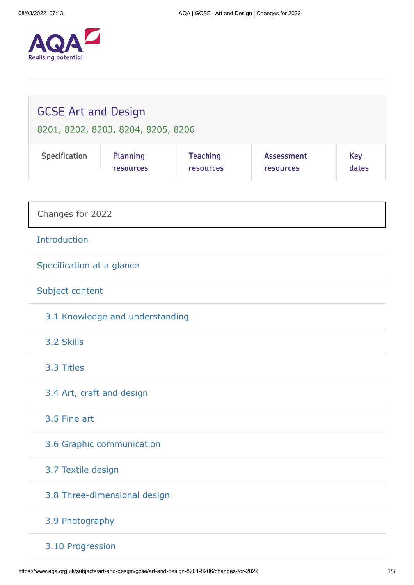

| <b>GCSE Art and Design</b><br>8201, 8202, 8203, 8204, 8205, 8206 |                              |                              |                                       |                     |
|------------------------------------------------------------------|------------------------------|------------------------------|---------------------------------------|---------------------|
| Specification                                                    | <b>Planning</b><br>resources | <b>Teaching</b><br>resources | <b>Assessment</b><br><b>resources</b> | <b>Key</b><br>dates |
| Changes for 2022                                                 |                              |                              |                                       |                     |
| Introduction                                                     |                              |                              |                                       |                     |
| Specification at a glance                                        |                              |                              |                                       |                     |
| Subject content                                                  |                              |                              |                                       |                     |
| 3.1 Knowledge and understanding                                  |                              |                              |                                       |                     |
| 3.2 Skills                                                       |                              |                              |                                       |                     |
| 3.3 Titles                                                       |                              |                              |                                       |                     |
| 3.4 Art, craft and design                                        |                              |                              |                                       |                     |
| 3.5 Fine art                                                     |                              |                              |                                       |                     |
| 3.6 Graphic communication                                        |                              |                              |                                       |                     |
| 3.7 Textile design                                               |                              |                              |                                       |                     |
| 3.8 Three-dimensional design                                     |                              |                              |                                       |                     |
| 3.9 Photography                                                  |                              |                              |                                       |                     |
| 3.10 Progression                                                 |                              |                              |                                       |                     |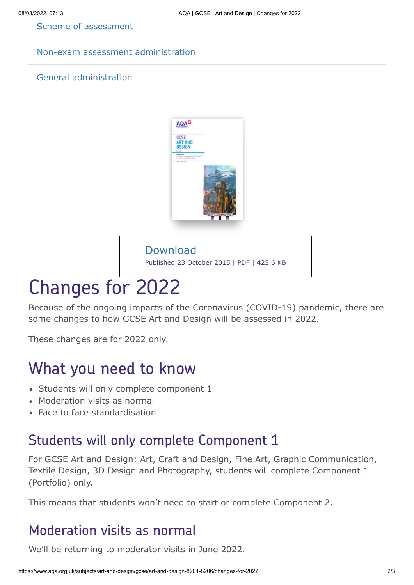[Scheme of assessment](https://www.aqa.org.uk/subjects/art-and-design/gcse/art-and-design-8201-8206/scheme-of-assessment)

#### [Non-exam assessment administration](https://www.aqa.org.uk/subjects/art-and-design/gcse/art-and-design-8201-8206/non-exam-assessment-administration)

#### [General administration](https://www.aqa.org.uk/subjects/art-and-design/gcse/art-and-design-8201-8206/general-administration)



#### Download

[Published 23 October 2015 | PDF | 425.6 KB](https://filestore.aqa.org.uk/resources/art-and-design/specifications/AQA-ART-GCSE-SP-2016.PDF)

# Changes for 2022

Because of the ongoing impacts of the Coronavirus (COVID-19) pandemic, there are some changes to how GCSE Art and Design will be assessed in 2022.

These changes are for 2022 only.

## What you need to know

- Students will only complete component 1
- Moderation visits as normal
- Face to face standardisation

### Students will only complete Component 1

For GCSE Art and Design: Art, Craft and Design, Fine Art, Graphic Communication, Textile Design, 3D Design and Photography, students will complete Component 1 (Portfolio) only.

This means that students won't need to start or complete Component 2.

#### Moderation visits as normal

We'll be returning to moderator visits in June 2022.